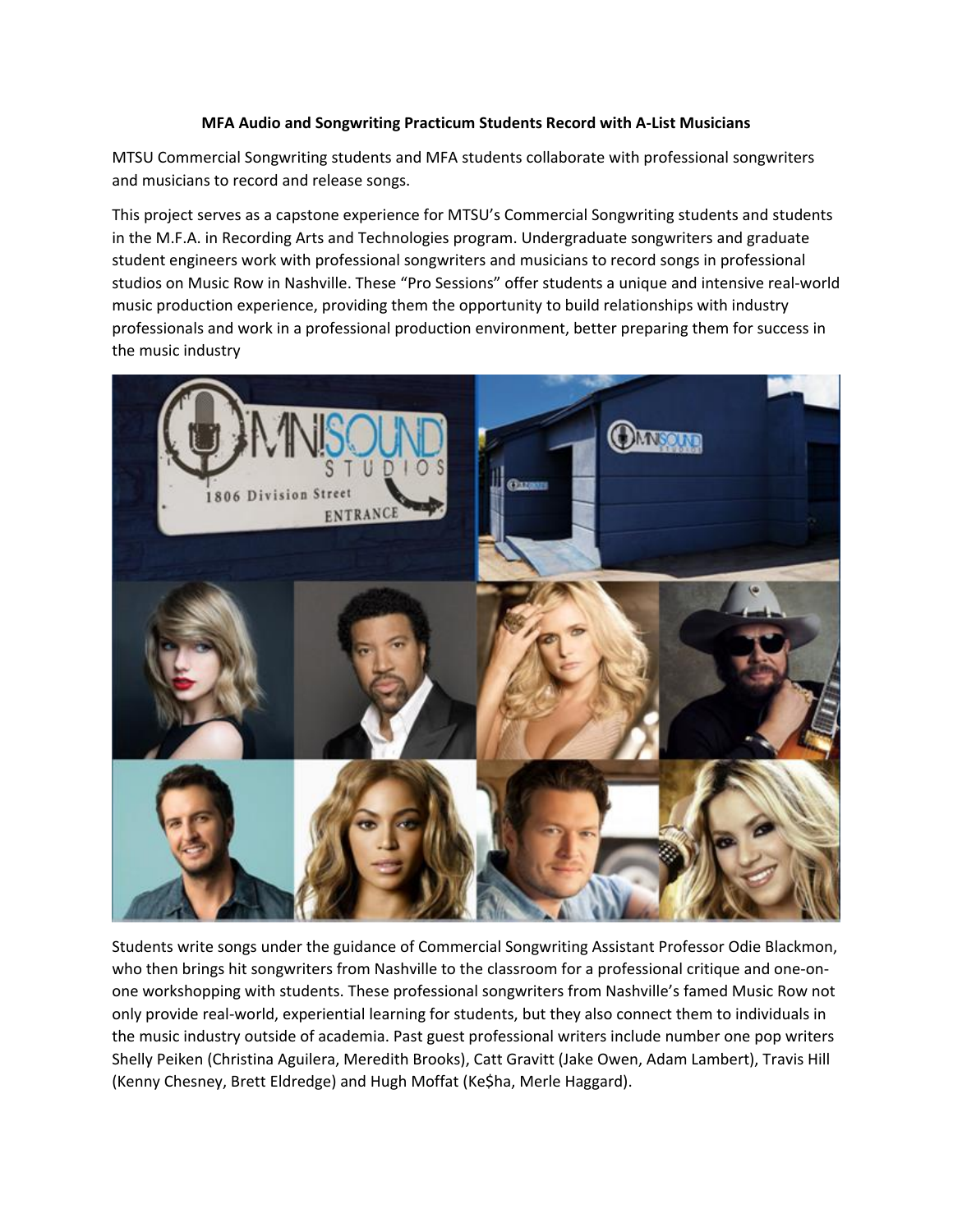## **MFA Audio and Songwriting Practicum Students Record with A-List Musicians**

MTSU Commercial Songwriting students and MFA students collaborate with professional songwriters and musicians to record and release songs.

This project serves as a capstone experience for MTSU's Commercial Songwriting students and students in the M.F.A. in Recording Arts and Technologies program. Undergraduate songwriters and graduate student engineers work with professional songwriters and musicians to record songs in professional studios on Music Row in Nashville. These "Pro Sessions" offer students a unique and intensive real-world music production experience, providing them the opportunity to build relationships with industry professionals and work in a professional production environment, better preparing them for success in the music industry



Students write songs under the guidance of Commercial Songwriting Assistant Professor Odie Blackmon, who then brings hit songwriters from Nashville to the classroom for a professional critique and one-onone workshopping with students. These professional songwriters from Nashville's famed Music Row not only provide real-world, experiential learning for students, but they also connect them to individuals in the music industry outside of academia. Past guest professional writers include number one pop writers Shelly Peiken (Christina Aguilera, Meredith Brooks), Catt Gravitt (Jake Owen, Adam Lambert), Travis Hill (Kenny Chesney, Brett Eldredge) and Hugh Moffat (Ke\$ha, Merle Haggard).